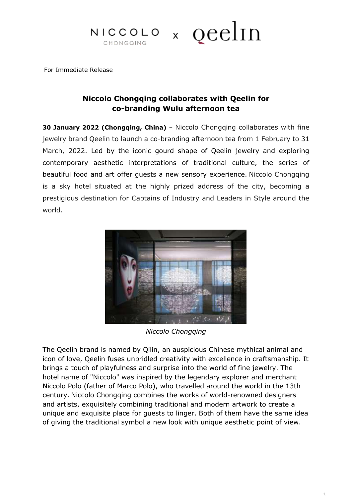# $NICCOLO \times QCclIn$ CHONGQING

For Immediate Release

# **Niccolo Chongqing collaborates with Qeelin for co-branding Wulu afternoon tea**

**30 January 2022 (Chongqing, China)** – Niccolo Chongqing collaborates with fine jewelry brand Qeelin to launch a co-branding afternoon tea from 1 February to 31 March, 2022. Led by the iconic gourd shape of Qeelin jewelry and exploring contemporary aesthetic interpretations of traditional culture, the series of beautiful food and art offer guests a new sensory experience. Niccolo Chongqing is a sky hotel situated at the highly prized address of the city, becoming a prestigious destination for Captains of Industry and Leaders in Style around the world.



*Niccolo Chongqing*

The Qeelin brand is named by Qilin, an auspicious Chinese mythical animal and icon of love, Qeelin fuses unbridled creativity with excellence in craftsmanship. It brings a touch of playfulness and surprise into the world of fine jewelry. The hotel name of "Niccolo" was inspired by the legendary explorer and merchant Niccolo Polo (father of Marco Polo), who travelled around the world in the 13th century. Niccolo Chongqing combines the works of world-renowned designers and artists, exquisitely combining traditional and modern artwork to create a unique and exquisite place for guests to linger. Both of them have the same idea of giving the traditional symbol a new look with unique aesthetic point of view.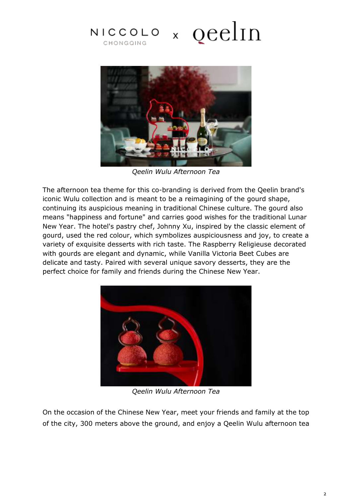# $NICCOLO \times QCclIn$ CHONGQING



*Qeelin Wulu Afternoon Tea*

The afternoon tea theme for this co-branding is derived from the Qeelin brand's iconic Wulu collection and is meant to be a reimagining of the gourd shape, continuing its auspicious meaning in traditional Chinese culture. The gourd also means "happiness and fortune" and carries good wishes for the traditional Lunar New Year. The hotel's pastry chef, Johnny Xu, inspired by the classic element of gourd, used the red colour, which symbolizes auspiciousness and joy, to create a variety of exquisite desserts with rich taste. The Raspberry Religieuse decorated with gourds are elegant and dynamic, while Vanilla Victoria Beet Cubes are delicate and tasty. Paired with several unique savory desserts, they are the perfect choice for family and friends during the Chinese New Year.



*Qeelin Wulu Afternoon Tea*

On the occasion of the Chinese New Year, meet your friends and family at the top of the city, 300 meters above the ground, and enjoy a Qeelin Wulu afternoon tea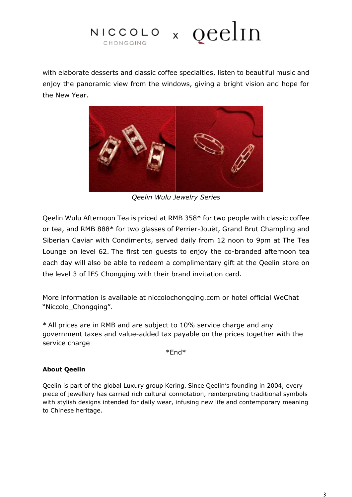

with elaborate desserts and classic coffee specialties, listen to beautiful music and enjoy the panoramic view from the windows, giving a bright vision and hope for the New Year.



*Qeelin Wulu Jewelry Series*

Qeelin Wulu Afternoon Tea is priced at RMB 358\* for two people with classic coffee or tea, and RMB 888\* for two glasses of Perrier-Jouët, Grand Brut Champling and Siberian Caviar with Condiments, served daily from 12 noon to 9pm at The Tea Lounge on level 62. The first ten guests to enjoy the co-branded afternoon tea each day will also be able to redeem a complimentary gift at the Qeelin store on the level 3 of IFS Chongqing with their brand invitation card.

More information is available at niccolochongqing.com or hotel official WeChat "Niccolo\_Chongqing".

\* All prices are in RMB and are subject to 10% service charge and any government taxes and value-added tax payable on the prices together with the service charge

\*End\*

### **About Qeelin**

Qeelin is part of the global Luxury group Kering. Since Qeelin's founding in 2004, every piece of jewellery has carried rich cultural connotation, reinterpreting traditional symbols with stylish designs intended for daily wear, infusing new life and contemporary meaning to Chinese heritage.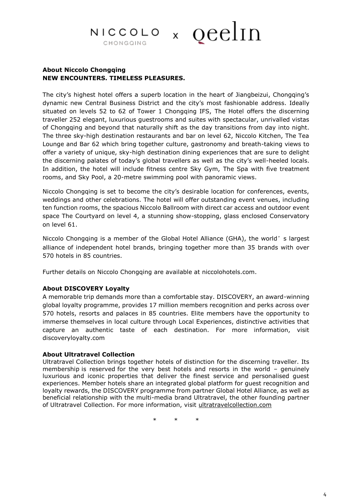## × qeelin NICCOLO CHONGQING

### **About Niccolo Chongqing NEW ENCOUNTERS. TIMELESS PLEASURES.**

The city's highest hotel offers a superb location in the heart of Jiangbeizui, Chongqing's dynamic new Central Business District and the city's most fashionable address. Ideally situated on levels 52 to 62 of Tower 1 Chongqing IFS, The Hotel offers the discerning traveller 252 elegant, luxurious guestrooms and suites with spectacular, unrivalled vistas of Chongqing and beyond that naturally shift as the day transitions from day into night. The three sky-high destination restaurants and bar on level 62, Niccolo Kitchen, The Tea Lounge and Bar 62 which bring together culture, gastronomy and breath-taking views to offer a variety of unique, sky-high destination dining experiences that are sure to delight the discerning palates of today's global travellers as well as the city's well-heeled locals. In addition, the hotel will include fitness centre Sky Gym, The Spa with five treatment rooms, and Sky Pool, a 20-metre swimming pool with panoramic views.

Niccolo Chongqing is set to become the city's desirable location for conferences, events, weddings and other celebrations. The hotel will offer outstanding event venues, including ten function rooms, the spacious Niccolo Ballroom with direct car access and outdoor event space The Courtyard on level 4, a stunning show-stopping, glass enclosed Conservatory on level 61.

Niccolo Chongqing is a member of the Global Hotel Alliance (GHA), the world's largest alliance of independent hotel brands, bringing together more than 35 brands with over 570 hotels in 85 countries.

Further details on Niccolo Chongqing are available at niccolohotels.com.

#### **About DISCOVERY Loyalty**

A memorable trip demands more than a comfortable stay. DISCOVERY, an award-winning global loyalty programme, provides 17 million members recognition and perks across over 570 hotels, resorts and palaces in 85 countries. Elite members have the opportunity to immerse themselves in local culture through Local Experiences, distinctive activities that capture an authentic taste of each destination. For more information, visit discoveryloyalty.com

#### **About Ultratravel Collection**

Ultratravel Collection brings together hotels of distinction for the discerning traveller. Its membership is reserved for the very best hotels and resorts in the world – genuinely luxurious and iconic properties that deliver the finest service and personalised guest experiences. Member hotels share an integrated global platform for guest recognition and loyalty rewards, the DISCOVERY programme from partner Global Hotel Alliance, as well as beneficial relationship with the multi-media brand Ultratravel, the other founding partner of Ultratravel Collection. For more information, visit [ultratravelcollection.com](file://///172.16.1.203/Department/S&M/Public%20Relations/Boilerplates/Latest%20version/ultratravelcollection.com)

\* \* \*